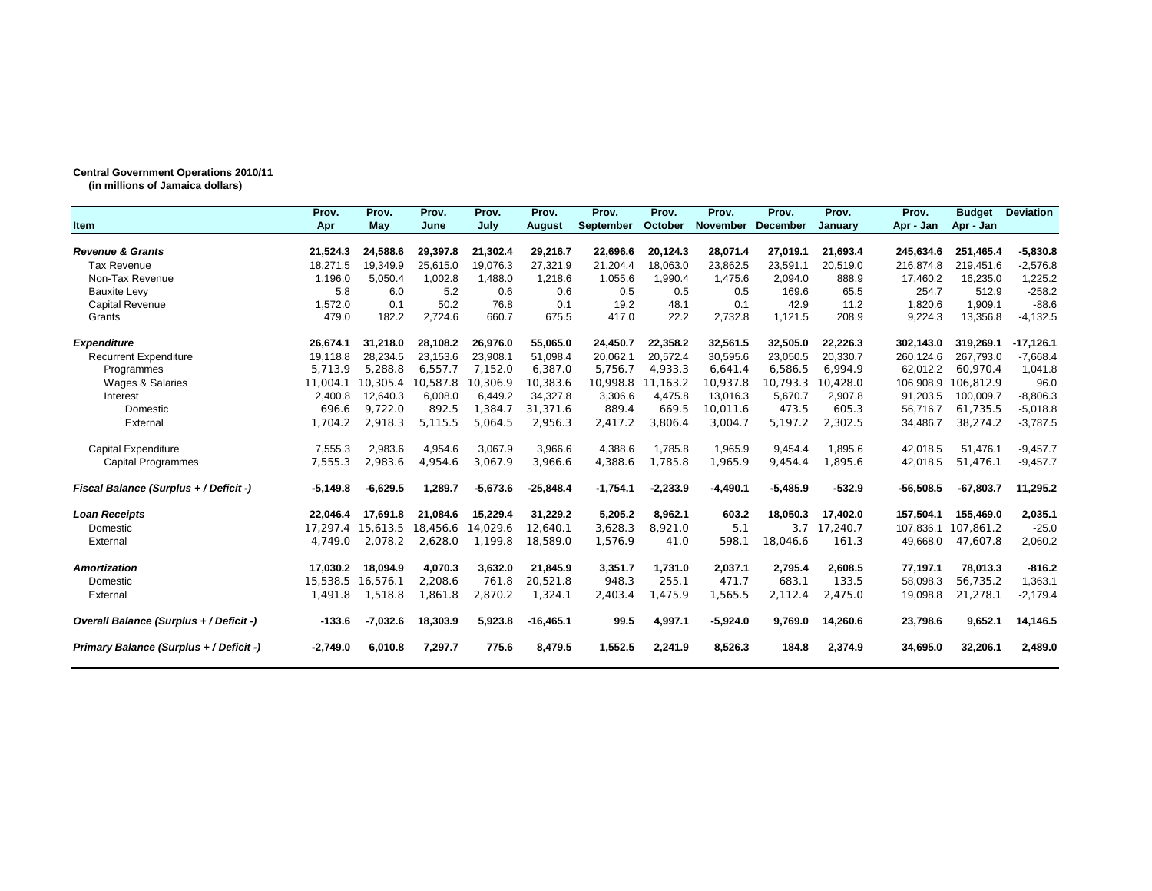## **Central Government Operations 2010/11**

**(in millions of Jamaica dollars)**

|                                         | Prov.      | Prov.      | Prov.    | Prov.      | Prov.         | Prov.      | Prov.      | Prov.      | Prov.      | Prov.    | Prov.       | <b>Budget</b> | <b>Deviation</b> |
|-----------------------------------------|------------|------------|----------|------------|---------------|------------|------------|------------|------------|----------|-------------|---------------|------------------|
| <b>Item</b>                             | Apr        | May        | June     | July       | <b>August</b> | September  | October    | November   | December   | January  | Apr - Jan   | Apr - Jan     |                  |
|                                         |            |            |          |            |               |            |            |            |            |          |             |               |                  |
| <b>Revenue &amp; Grants</b>             | 21,524.3   | 24,588.6   | 29,397.8 | 21,302.4   | 29,216.7      | 22,696.6   | 20,124.3   | 28,071.4   | 27,019.1   | 21,693.4 | 245,634.6   | 251,465.4     | $-5,830.8$       |
| <b>Tax Revenue</b>                      | 18.271.5   | 19,349.9   | 25,615.0 | 19.076.3   | 27,321.9      | 21,204.4   | 18.063.0   | 23,862.5   | 23,591.1   | 20,519.0 | 216.874.8   | 219,451.6     | $-2,576.8$       |
| Non-Tax Revenue                         | 1,196.0    | 5,050.4    | 1,002.8  | 1,488.0    | 1,218.6       | 1,055.6    | 1.990.4    | 1,475.6    | 2,094.0    | 888.9    | 17,460.2    | 16,235.0      | 1,225.2          |
| <b>Bauxite Levy</b>                     | 5.8        | 6.0        | 5.2      | 0.6        | 0.6           | 0.5        | 0.5        | 0.5        | 169.6      | 65.5     | 254.7       | 512.9         | $-258.2$         |
| <b>Capital Revenue</b>                  | 1,572.0    | 0.1        | 50.2     | 76.8       | 0.1           | 19.2       | 48.1       | 0.1        | 42.9       | 11.2     | 1,820.6     | 1,909.1       | $-88.6$          |
| Grants                                  | 479.0      | 182.2      | 2,724.6  | 660.7      | 675.5         | 417.0      | 22.2       | 2,732.8    | 1,121.5    | 208.9    | 9,224.3     | 13,356.8      | $-4,132.5$       |
| <b>Expenditure</b>                      | 26,674.1   | 31,218.0   | 28,108.2 | 26,976.0   | 55,065.0      | 24,450.7   | 22,358.2   | 32,561.5   | 32,505.0   | 22.226.3 | 302,143.0   | 319,269.1     | $-17,126.1$      |
| <b>Recurrent Expenditure</b>            | 19.118.8   | 28.234.5   | 23.153.6 | 23.908.1   | 51.098.4      | 20,062.1   | 20.572.4   | 30,595.6   | 23.050.5   | 20.330.7 | 260.124.6   | 267.793.0     | $-7,668.4$       |
| Programmes                              | 5.713.9    | 5.288.8    | 6.557.7  | 7.152.0    | 6.387.0       | 5.756.7    | 4.933.3    | 6.641.4    | 6.586.5    | 6.994.9  | 62.012.2    | 60.970.4      | 1,041.8          |
| Wages & Salaries                        | 11,004.1   | 10.305.4   | 10,587.8 | 10,306.9   | 10,383.6      | 10,998.8   | 11,163.2   | 10,937.8   | 10,793.3   | 10,428.0 | 106,908.9   | 106.812.9     | 96.0             |
| Interest                                | 2.400.8    | 12.640.3   | 6.008.0  | 6.449.2    | 34.327.8      | 3.306.6    | 4.475.8    | 13.016.3   | 5.670.7    | 2.907.8  | 91.203.5    | 100.009.7     | $-8,806.3$       |
| Domestic                                | 696.6      | 9.722.0    | 892.5    | 1.384.7    | 31.371.6      | 889.4      | 669.5      | 10.011.6   | 473.5      | 605.3    | 56.716.7    | 61,735.5      | $-5,018.8$       |
| External                                | 1,704.2    | 2,918.3    | 5,115.5  | 5,064.5    | 2,956.3       | 2,417.2    | 3,806.4    | 3,004.7    | 5,197.2    | 2,302.5  | 34,486.7    | 38,274.2      | $-3,787.5$       |
| <b>Capital Expenditure</b>              | 7,555.3    | 2.983.6    | 4,954.6  | 3.067.9    | 3,966.6       | 4,388.6    | 1.785.8    | 1.965.9    | 9.454.4    | 1.895.6  | 42.018.5    | 51,476.1      | $-9,457.7$       |
| <b>Capital Programmes</b>               | 7,555.3    | 2,983.6    | 4,954.6  | 3,067.9    | 3,966.6       | 4,388.6    | 1,785.8    | 1,965.9    | 9,454.4    | 1,895.6  | 42,018.5    | 51.476.1      | $-9,457.7$       |
| Fiscal Balance (Surplus + / Deficit -)  | $-5,149.8$ | $-6,629.5$ | 1,289.7  | $-5,673.6$ | $-25,848.4$   | $-1,754.1$ | $-2,233.9$ | $-4,490.1$ | $-5,485.9$ | $-532.9$ | $-56,508.5$ | $-67,803.7$   | 11,295.2         |
| <b>Loan Receipts</b>                    | 22.046.4   | 17.691.8   | 21.084.6 | 15.229.4   | 31.229.2      | 5,205.2    | 8.962.1    | 603.2      | 18,050.3   | 17.402.0 | 157,504.1   | 155,469.0     | 2,035.1          |
| Domestic                                | 17,297.4   | 15,613.5   | 18.456.6 | 14.029.6   | 12.640.1      | 3,628.3    | 8,921.0    | 5.1        | 3.7        | 17.240.7 | 107,836.1   | 107.861.2     | $-25.0$          |
| External                                | 4.749.0    | 2.078.2    | 2,628.0  | 1,199.8    | 18.589.0      | 1,576.9    | 41.0       | 598.1      | 18.046.6   | 161.3    | 49,668.0    | 47,607.8      | 2,060.2          |
| <b>Amortization</b>                     | 17.030.2   | 18,094.9   | 4.070.3  | 3,632.0    | 21,845.9      | 3,351.7    | 1,731.0    | 2,037.1    | 2,795.4    | 2,608.5  | 77,197.1    | 78,013.3      | $-816.2$         |
| Domestic                                | 15.538.5   | 16.576.1   | 2.208.6  | 761.8      | 20.521.8      | 948.3      | 255.1      | 471.7      | 683.1      | 133.5    | 58,098.3    | 56,735.2      | 1,363.1          |
| External                                | 1,491.8    | 1,518.8    | 1,861.8  | 2,870.2    | 1,324.1       | 2,403.4    | 1,475.9    | 1,565.5    | 2,112.4    | 2,475.0  | 19,098.8    | 21,278.1      | $-2,179.4$       |
| Overall Balance (Surplus + / Deficit -) | $-133.6$   | $-7,032.6$ | 18,303.9 | 5,923.8    | $-16,465.1$   | 99.5       | 4,997.1    | $-5,924.0$ | 9.769.0    | 14,260.6 | 23,798.6    | 9.652.1       | 14,146.5         |
| Primary Balance (Surplus + / Deficit -) | $-2.749.0$ | 6.010.8    | 7,297.7  | 775.6      | 8.479.5       | 1,552.5    | 2.241.9    | 8.526.3    | 184.8      | 2.374.9  | 34,695.0    | 32,206.1      | 2,489.0          |